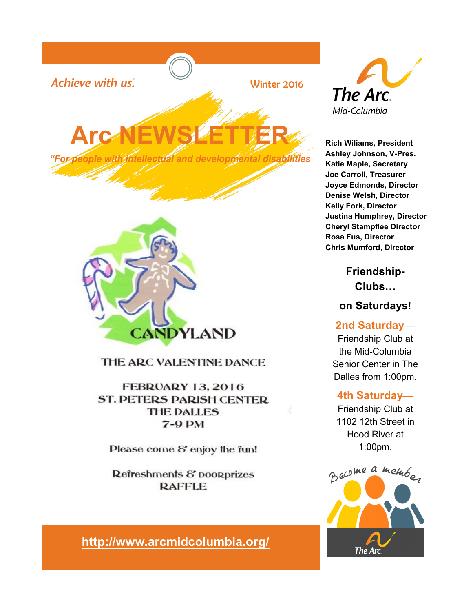

Refreshments & poorprizes **RAFFLE** 

**[http://www.arcmidcolumbia.org/](http://arcmidcolumbia.org/)**



**Rich Wiliams, President Ashley Johnson, V-Pres. Katie Maple, Secretary Joe Carroll, Treasurer Joyce Edmonds, Director Denise Welsh, Director Kelly Fork, Director Justina Humphrey, Director Cheryl Stampflee Director Rosa Fus, Director Chris Mumford, Director**

> **Friendship-Clubs…**

**on Saturdays!**

**2nd Saturday**— Friendship Club at the Mid-Columbia Senior Center in The Dalles from 1:00pm.

#### **4th Saturday**—

Friendship Club at 1102 12th Street in Hood River at 1:00pm.

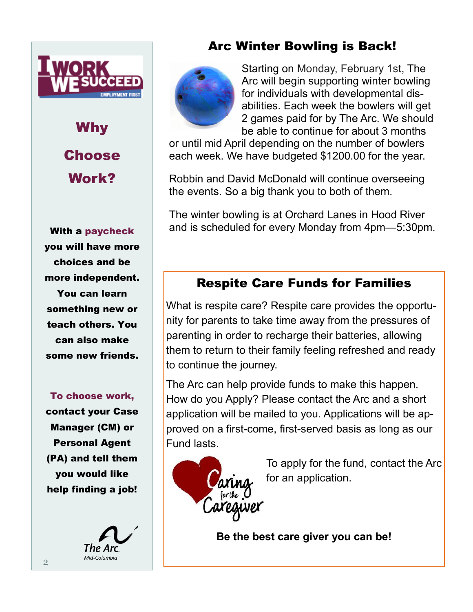

Why **Choose** Work?

With a paycheck you will have more choices and be more independent. You can learn something new or teach others. You can also make some new friends.

To choose work, contact your Case Manager (CM) or Personal Agent (PA) and tell them you would like help finding a job!



#### Arc Winter Bowling is Back!



Starting on Monday, February 1st, The Arc will begin supporting winter bowling for individuals with developmental disabilities. Each week the bowlers will get 2 games paid for by The Arc. We should be able to continue for about 3 months

or until mid April depending on the number of bowlers each week. We have budgeted \$1200.00 for the year.

Robbin and David McDonald will continue overseeing the events. So a big thank you to both of them.

The winter bowling is at Orchard Lanes in Hood River and is scheduled for every Monday from 4pm—5:30pm.

### Respite Care Funds for Families

What is respite care? Respite care provides the opportunity for parents to take time away from the pressures of parenting in order to recharge their batteries, allowing them to return to their family feeling refreshed and ready to continue the journey.

The Arc can help provide funds to make this happen. How do you Apply? Please contact the Arc and a short application will be mailed to you. Applications will be approved on a first-come, first-served basis as long as our Fund lasts.



To apply for the fund, contact the Arc for an application.

**Be the best care giver you can be!**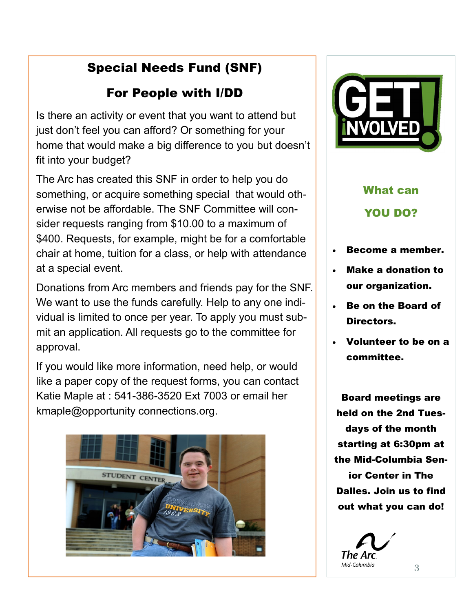## Special Needs Fund (SNF)

### For People with I/DD

Is there an activity or event that you want to attend but just don't feel you can afford? Or something for your home that would make a big difference to you but doesn't fit into your budget?

The Arc has created this SNF in order to help you do something, or acquire something special that would otherwise not be affordable. The SNF Committee will consider requests ranging from \$10.00 to a maximum of \$400. Requests, for example, might be for a comfortable chair at home, tuition for a class, or help with attendance at a special event.

Donations from Arc members and friends pay for the SNF. We want to use the funds carefully. Help to any one individual is limited to once per year. To apply you must submit an application. All requests go to the committee for approval.

If you would like more information, need help, or would like a paper copy of the request forms, you can contact Katie Maple at : 541-386-3520 Ext 7003 or email her kmaple@opportunity connections.org.





# What can YOU DO?

- Become a member.
- Make a donation to our organization.
- Be on the Board of Directors.
- Volunteer to be on a committee.

Board meetings are held on the 2nd Tuesdays of the month starting at 6:30pm at the Mid-Columbia Senior Center in The Dalles. Join us to find out what you can do!